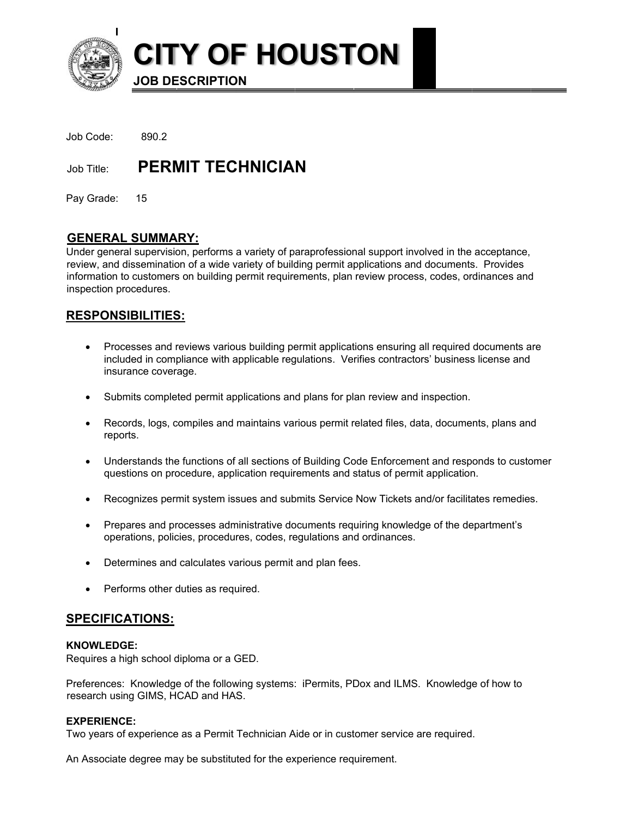

**CITY OF HOUSTON** 

**JOB DESCRIPTION** 

Job Code: 890.2

Job Title: **PERMIT TECHNICIAN** 

Pay Grade: 15

# **GENERAL SUMMARY:**

Under general supervision, performs a variety of paraprofessional support involved in the acceptance, review, and dissemination of a wide variety of building permit applications and documents. Provides information to customers on building permit requirements, plan review process, codes, ordinances and inspection procedures.

# **RESPONSIBILITIES:**

- Processes and reviews various building permit applications ensuring all required documents are included in compliance with applicable regulations. Verifies contractors' business license and insurance coverage.
- Submits completed permit applications and plans for plan review and inspection.
- Records, logs, compiles and maintains various permit related files, data, documents, plans and reports.
- Understands the functions of all sections of Building Code Enforcement and responds to customer questions on procedure, application requirements and status of permit application.
- Recognizes permit system issues and submits Service Now Tickets and/or facilitates remedies.
- Prepares and processes administrative documents requiring knowledge of the department's operations, policies, procedures, codes, regulations and ordinances.
- Determines and calculates various permit and plan fees.
- Performs other duties as required.

## **SPECIFICATIONS:**

## **KNOWLEDGE:**

Requires a high school diploma or a GED.

Preferences: Knowledge of the following systems: iPermits, PDox and ILMS. Knowledge of how to research using GIMS, HCAD and HAS.

## **EXPERIENCE:**

Two years of experience as a Permit Technician Aide or in customer service are required.

An Associate degree may be substituted for the experience requirement.